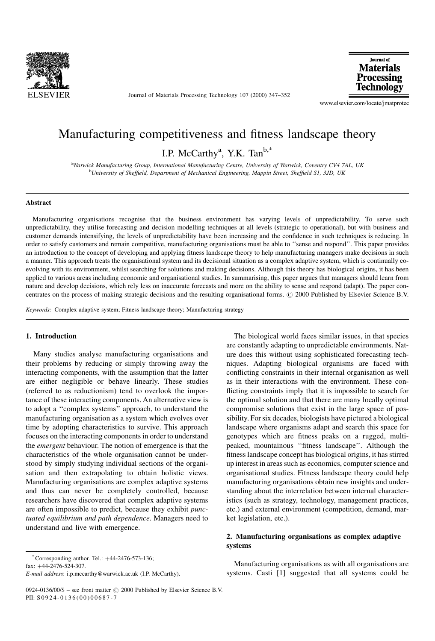

Journal of Materials Processing Technology 107 (2000) 347-352



www.elsevier.com/locate/jmatprotec

# Manufacturing competitiveness and fitness landscape theory

I.P. McCarthy<sup>a</sup>, Y.K. Tan<sup>b,\*</sup>

a<br>Warwick Manufacturing Group, International Manufacturing Centre, University of Warwick, Coventry CV4 7AL, UK <sup>b</sup>University of Sheffield, Department of Mechanical Engineering, Mappin Street, Sheffield S1, 3JD, UK

#### Abstract

Manufacturing organisations recognise that the business environment has varying levels of unpredictability. To serve such unpredictability, they utilise forecasting and decision modelling techniques at all levels (strategic to operational), but with business and customer demands intensifying, the levels of unpredictability have been increasing and the confidence in such techniques is reducing. In order to satisfy customers and remain competitive, manufacturing organisations must be able to "sense and respond". This paper provides an introduction to the concept of developing and applying fitness landscape theory to help manufacturing managers make decisions in such a manner. This approach treats the organisational system and its decisional situation as a complex adaptive system, which is continually coevolving with its environment, whilst searching for solutions and making decisions. Although this theory has biological origins, it has been applied to various areas including economic and organisational studies. In summarising, this paper argues that managers should learn from nature and develop decisions, which rely less on inaccurate forecasts and more on the ability to sense and respond (adapt). The paper concentrates on the process of making strategic decisions and the resulting organisational forms.  $\odot$  2000 Published by Elsevier Science B.V.

Keywords: Complex adaptive system; Fitness landscape theory; Manufacturing strategy

### 1. Introduction

Many studies analyse manufacturing organisations and their problems by reducing or simply throwing away the interacting components, with the assumption that the latter are either negligible or behave linearly. These studies (referred to as reductionism) tend to overlook the importance of these interacting components. An alternative view is to adopt a "complex systems" approach, to understand the manufacturing organisation as a system which evolves over time by adopting characteristics to survive. This approach focuses on the interacting components in order to understand the *emergent* behaviour. The notion of emergence is that the characteristics of the whole organisation cannot be understood by simply studying individual sections of the organisation and then extrapolating to obtain holistic views. Manufacturing organisations are complex adaptive systems and thus can never be completely controlled, because researchers have discovered that complex adaptive systems are often impossible to predict, because they exhibit punctuated equilibrium and path dependence. Managers need to understand and live with emergence.

The biological world faces similar issues, in that species are constantly adapting to unpredictable environments. Nature does this without using sophisticated forecasting techniques. Adapting biological organisms are faced with conflicting constraints in their internal organisation as well as in their interactions with the environment. These con flicting constraints imply that it is impossible to search for the optimal solution and that there are many locally optimal compromise solutions that exist in the large space of possibility. For six decades, biologists have pictured a biological landscape where organisms adapt and search this space for genotypes which are fitness peaks on a rugged, multipeaked, mountainous "fitness landscape". Although the fitness landscape concept has biological origins, it has stirred up interest in areas such as economics, computer science and organisational studies. Fitness landscape theory could help manufacturing organisations obtain new insights and understanding about the interrelation between internal characteristics (such as strategy, technology, management practices, etc.) and external environment (competition, demand, market legislation, etc.).

## 2. Manufacturing organisations as complex adaptive systems

Manufacturing organisations as with all organisations are systems. Casti [1] suggested that all systems could be

 $*$  Corresponding author. Tel.:  $+44-2476-573-136$ ;

fax: 44-2476-524-307.

E-mail address: i.p.mccarthy@warwick.ac.uk (I.P. McCarthy).

<sup>0924-0136/00/\$ -</sup> see front matter  $\odot$  2000 Published by Elsevier Science B.V. PII: S 0924-0136(00)00687-7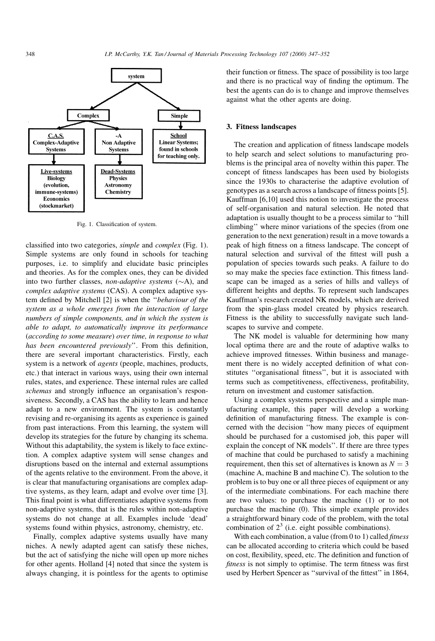

Fig. 1. Classification of system.

classified into two categories, *simple* and *complex* (Fig. 1). Simple systems are only found in schools for teaching purposes, i.e. to simplify and elucidate basic principles and theories. As for the complex ones, they can be divided into two further classes, *non-adaptive systems*  $(\sim A)$ , and complex adaptive systems (CAS). A complex adaptive system defined by Mitchell [2] is when the "behaviour of the system as a whole emerges from the interaction of large numbers of simple components, and in which the system is able to adapt, to automatically improve its performance (according to some measure) over time, in response to what has been encountered previously". From this definition, there are several important characteristics. Firstly, each system is a network of agents (people, machines, products, etc.) that interact in various ways, using their own internal rules, states, and experience. These internal rules are called schemas and strongly influence an organisation's responsiveness. Secondly, a CAS has the ability to learn and hence adapt to a new environment. The system is constantly revising and re-organising its agents as experience is gained from past interactions. From this learning, the system will develop its strategies for the future by changing its schema. Without this adaptability, the system is likely to face extinction. A complex adaptive system will sense changes and disruptions based on the internal and external assumptions of the agents relative to the environment. From the above, it is clear that manufacturing organisations are complex adaptive systems, as they learn, adapt and evolve over time [3]. This final point is what differentiates adaptive systems from non-adaptive systems, that is the rules within non-adaptive systems do not change at all. Examples include `dead' systems found within physics, astronomy, chemistry, etc.

Finally, complex adaptive systems usually have many niches. A newly adapted agent can satisfy these niches, but the act of satisfying the niche will open up more niches for other agents. Holland [4] noted that since the system is always changing, it is pointless for the agents to optimise their function or fitness. The space of possibility is too large and there is no practical way of finding the optimum. The best the agents can do is to change and improve themselves against what the other agents are doing.

### 3. Fitness landscapes

The creation and application of fitness landscape models to help search and select solutions to manufacturing problems is the principal area of novelty within this paper. The concept of fitness landscapes has been used by biologists since the 1930s to characterise the adaptive evolution of genotypes as a search across a landscape of fitness points [5]. Kauffman [6,10] used this notion to investigate the process of self-organisation and natural selection. He noted that adaptation is usually thought to be a process similar to "hill climbing'' where minor variations of the species (from one generation to the next generation) result in a move towards a peak of high fitness on a fitness landscape. The concept of natural selection and survival of the fittest will push a population of species towards such peaks. A failure to do so may make the species face extinction. This fitness landscape can be imaged as a series of hills and valleys of different heights and depths. To represent such landscapes Kauffman's research created NK models, which are derived from the spin-glass model created by physics research. Fitness is the ability to successfully navigate such landscapes to survive and compete.

The NK model is valuable for determining how many local optima there are and the route of adaptive walks to achieve improved fitnesses. Within business and management there is no widely accepted definition of what constitutes "organisational fitness", but it is associated with terms such as competitiveness, effectiveness, profitability, return on investment and customer satisfaction.

Using a complex systems perspective and a simple manufacturing example, this paper will develop a working definition of manufacturing fitness. The example is concerned with the decision "how many pieces of equipment should be purchased for a customised job, this paper will explain the concept of NK models''. If there are three types of machine that could be purchased to satisfy a machining requirement, then this set of alternatives is known as  $N = 3$ (machine A, machine B and machine C). The solution to the problem is to buy one or all three pieces of equipment or any of the intermediate combinations. For each machine there are two values: to purchase the machine (1) or to not purchase the machine (0). This simple example provides a straightforward binary code of the problem, with the total combination of  $2<sup>3</sup>$  (i.e. eight possible combinations).

With each combination, a value (from  $0$  to  $1$ ) called *fitness* can be allocated according to criteria which could be based on cost, flexibility, speed, etc. The definition and function of fitness is not simply to optimise. The term fitness was first used by Herbert Spencer as "survival of the fittest" in 1864,